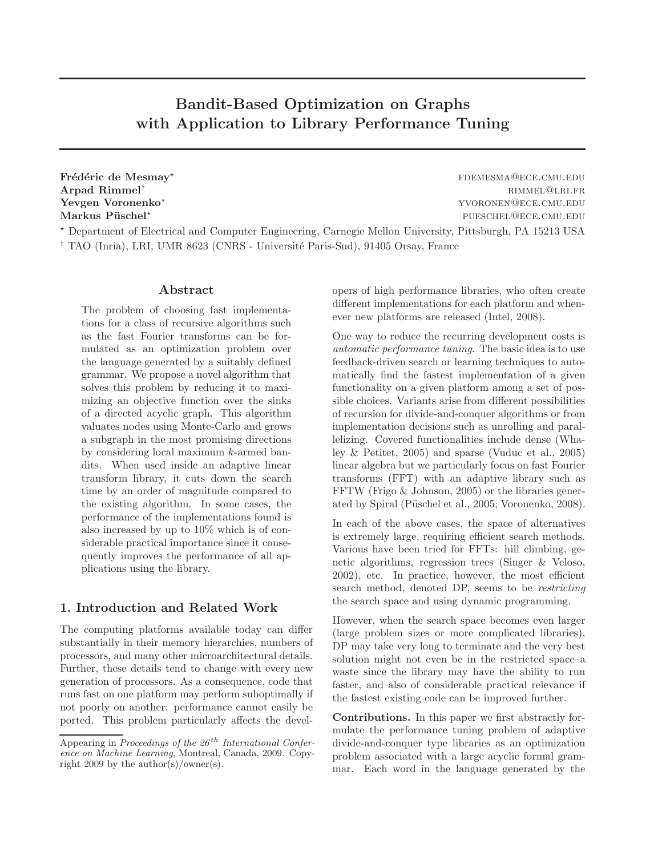# Bandit-Based Optimization on Graphs with Application to Library Performance Tuning

Frédéric de Mesmay\* formes et al. et al. et al. et al. et al. et al. et al. et al. et al. et al. et al. et al. et al. et al. et al. et al. et al. et al. et al. et al. et al. et al. et al. et al. et al. et al. et al. et al.  $Arpad$   $R$ immel<sup>†</sup>  $R$ immel $R$ immel $R$ immel $R$ immel $R$ immel $R$ immel $R$ immel $R$ immel $R$ immel $R$ immel $R$ immel $R$ immel $R$ immel $R$ immel $R$ immel $R$ immel $R$ immel $R$ immel $R$ immel $R$ immel $R$ immel $R$ immel $R$ immel $R$ immel $R$ immel $R$ i Yevgen Voronenko<sup>⋆</sup> yvoronen@ece.cmu.edu Markus P¨uschel<sup>⋆</sup> pueschel@ece.cmu.edu

<sup>⋆</sup> Department of Electrical and Computer Engineering, Carnegie Mellon University, Pittsburgh, PA 15213 USA <sup>†</sup> TAO (Inria), LRI, UMR 8623 (CNRS - Université Paris-Sud), 91405 Orsay, France

### Abstract

The problem of choosing fast implementations for a class of recursive algorithms such as the fast Fourier transforms can be formulated as an optimization problem over the language generated by a suitably defined grammar. We propose a novel algorithm that solves this problem by reducing it to maximizing an objective function over the sinks of a directed acyclic graph. This algorithm valuates nodes using Monte-Carlo and grows a subgraph in the most promising directions by considering local maximum k-armed bandits. When used inside an adaptive linear transform library, it cuts down the search time by an order of magnitude compared to the existing algorithm. In some cases, the performance of the implementations found is also increased by up to 10% which is of considerable practical importance since it consequently improves the performance of all applications using the library.

# 1. Introduction and Related Work

The computing platforms available today can differ substantially in their memory hierarchies, numbers of processors, and many other microarchitectural details. Further, these details tend to change with every new generation of processors. As a consequence, code that runs fast on one platform may perform suboptimally if not poorly on another: performance cannot easily be ported. This problem particularly affects the developers of high performance libraries, who often create different implementations for each platform and whenever new platforms are released (Intel, 2008).

One way to reduce the recurring development costs is *automatic performance tuning*. The basic idea is to use feedback-driven search or learning techniques to automatically find the fastest implementation of a given functionality on a given platform among a set of possible choices. Variants arise from different possibilities of recursion for divide-and-conquer algorithms or from implementation decisions such as unrolling and parallelizing. Covered functionalities include dense (Whaley & Petitet, 2005) and sparse (Vuduc et al., 2005) linear algebra but we particularly focus on fast Fourier transforms (FFT) with an adaptive library such as FFTW (Frigo & Johnson, 2005) or the libraries generated by Spiral (Püschel et al., 2005; Voronenko, 2008).

In each of the above cases, the space of alternatives is extremely large, requiring efficient search methods. Various have been tried for FFTs: hill climbing, genetic algorithms, regression trees (Singer & Veloso, 2002), etc. In practice, however, the most efficient search method, denoted DP, seems to be *restricting* the search space and using dynamic programming.

However, when the search space becomes even larger (large problem sizes or more complicated libraries), DP may take very long to terminate and the very best solution might not even be in the restricted space–a waste since the library may have the ability to run faster, and also of considerable practical relevance if the fastest existing code can be improved further.

Contributions. In this paper we first abstractly formulate the performance tuning problem of adaptive divide-and-conquer type libraries as an optimization problem associated with a large acyclic formal grammar. Each word in the language generated by the

Appearing in Proceedings of the  $26^{th}$  International Conference on Machine Learning, Montreal, Canada, 2009. Copyright 2009 by the author(s)/owner(s).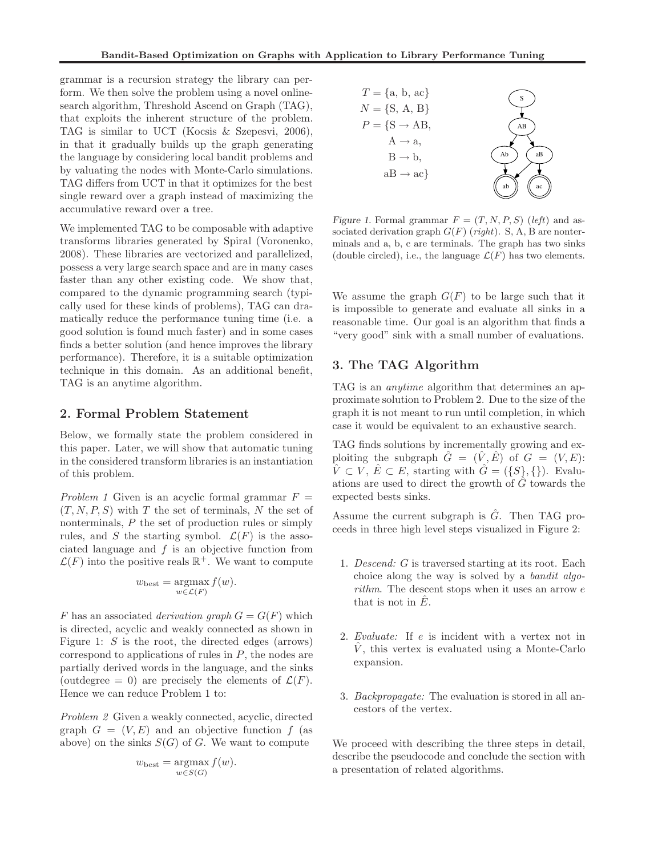grammar is a recursion strategy the library can perform. We then solve the problem using a novel onlinesearch algorithm, Threshold Ascend on Graph (TAG), that exploits the inherent structure of the problem. TAG is similar to UCT (Kocsis & Szepesvi, 2006), in that it gradually builds up the graph generating the language by considering local bandit problems and by valuating the nodes with Monte-Carlo simulations. TAG differs from UCT in that it optimizes for the best single reward over a graph instead of maximizing the accumulative reward over a tree.

We implemented TAG to be composable with adaptive transforms libraries generated by Spiral (Voronenko, 2008). These libraries are vectorized and parallelized, possess a very large search space and are in many cases faster than any other existing code. We show that, compared to the dynamic programming search (typically used for these kinds of problems), TAG can dramatically reduce the performance tuning time (i.e. a good solution is found much faster) and in some cases finds a better solution (and hence improves the library performance). Therefore, it is a suitable optimization technique in this domain. As an additional benefit, TAG is an anytime algorithm.

# 2. Formal Problem Statement

Below, we formally state the problem considered in this paper. Later, we will show that automatic tuning in the considered transform libraries is an instantiation of this problem.

*Problem 1* Given is an acyclic formal grammar  $F =$  $(T, N, P, S)$  with T the set of terminals, N the set of nonterminals, P the set of production rules or simply rules, and S the starting symbol.  $\mathcal{L}(F)$  is the associated language and  $f$  is an objective function from  $\mathcal{L}(F)$  into the positive reals  $\mathbb{R}^+$ . We want to compute

$$
w_{\text{best}} = \operatorname*{argmax}_{w \in \mathcal{L}(F)} f(w).
$$

F has an associated *derivation graph*  $G = G(F)$  which is directed, acyclic and weakly connected as shown in Figure 1: S is the root, the directed edges (arrows) correspond to applications of rules in  $P$ , the nodes are partially derived words in the language, and the sinks (outdegree = 0) are precisely the elements of  $\mathcal{L}(F)$ . Hence we can reduce Problem 1 to:

*Problem 2* Given a weakly connected, acyclic, directed graph  $G = (V, E)$  and an objective function f (as above) on the sinks  $S(G)$  of G. We want to compute

$$
w_{\text{best}} = \operatorname*{argmax}_{w \in S(G)} f(w).
$$



Figure 1. Formal grammar  $F = (T, N, P, S)$  (left) and associated derivation graph  $G(F)$  (right). S, A, B are nonterminals and a, b, c are terminals. The graph has two sinks (double circled), i.e., the language  $\mathcal{L}(F)$  has two elements.

We assume the graph  $G(F)$  to be large such that it is impossible to generate and evaluate all sinks in a reasonable time. Our goal is an algorithm that finds a "very good" sink with a small number of evaluations.

# 3. The TAG Algorithm

TAG is an *anytime* algorithm that determines an approximate solution to Problem 2. Due to the size of the graph it is not meant to run until completion, in which case it would be equivalent to an exhaustive search.

TAG finds solutions by incrementally growing and exploiting the subgraph  $\hat{G} = (\hat{V}, \hat{E})$  of  $G = (V, E)$ :  $\hat{V} \subset V, \, \hat{E} \subset E$ , starting with  $\hat{G} = (\{S\}, \{\})$ . Evaluations are used to direct the growth of  $\hat{G}$  towards the expected bests sinks.

Assume the current subgraph is  $\hat{G}$ . Then TAG proceeds in three high level steps visualized in Figure 2:

- 1. *Descend:* G is traversed starting at its root. Each choice along the way is solved by a *bandit algorithm*. The descent stops when it uses an arrow e that is not in  $E$ .
- 2. *Evaluate:* If e is incident with a vertex not in  $\hat{V}$ , this vertex is evaluated using a Monte-Carlo expansion.
- 3. *Backpropagate:* The evaluation is stored in all ancestors of the vertex.

We proceed with describing the three steps in detail, describe the pseudocode and conclude the section with a presentation of related algorithms.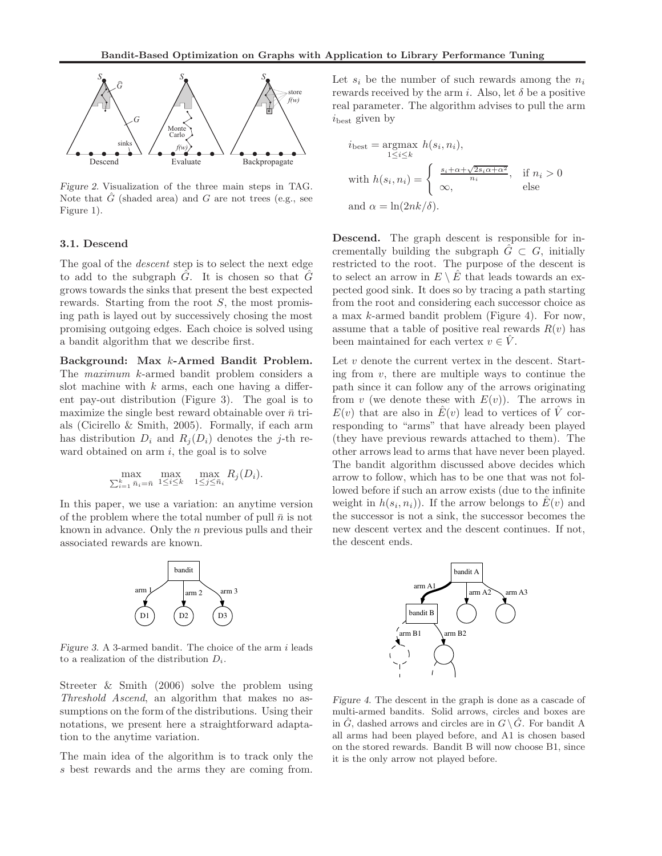

Figure 2. Visualization of the three main steps in TAG. Note that  $\tilde{G}$  (shaded area) and G are not trees (e.g., see Figure 1).

### 3.1. Descend

The goal of the *descent* step is to select the next edge to add to the subgraph  $\tilde{G}$ . It is chosen so that  $\tilde{G}$ grows towards the sinks that present the best expected rewards. Starting from the root  $S$ , the most promising path is layed out by successively chosing the most promising outgoing edges. Each choice is solved using a bandit algorithm that we describe first.

Background: Max k-Armed Bandit Problem. The *maximum* k-armed bandit problem considers a slot machine with  $k$  arms, each one having a different pay-out distribution (Figure 3). The goal is to maximize the single best reward obtainable over  $\bar{n}$  trials (Cicirello & Smith, 2005). Formally, if each arm has distribution  $D_i$  and  $R_i(D_i)$  denotes the j-th reward obtained on arm  $i$ , the goal is to solve

$$
\max_{\sum_{i=1}^k \bar{n}_i = \bar{n}} \max_{1 \le i \le k} \max_{1 \le j \le \bar{n}_i} R_j(D_i).
$$

In this paper, we use a variation: an anytime version of the problem where the total number of pull  $\bar{n}$  is not known in advance. Only the  $n$  previous pulls and their associated rewards are known.



Figure 3. A 3-armed bandit. The choice of the arm  $i$  leads to a realization of the distribution  $D_i$ .

Streeter & Smith (2006) solve the problem using *Threshold Ascend*, an algorithm that makes no assumptions on the form of the distributions. Using their notations, we present here a straightforward adaptation to the anytime variation.

The main idea of the algorithm is to track only the s best rewards and the arms they are coming from.

Let  $s_i$  be the number of such rewards among the  $n_i$ rewards received by the arm i. Also, let  $\delta$  be a positive real parameter. The algorithm advises to pull the arm  $i_{\text{best}}$  given by

$$
i_{\text{best}} = \underset{1 \leq i \leq k}{\operatorname{argmax}} h(s_i, n_i),
$$
  
with 
$$
h(s_i, n_i) = \begin{cases} \frac{s_i + \alpha + \sqrt{2s_i \alpha + \alpha^2}}{n_i}, & \text{if } n_i > 0 \\ \infty, & \text{else} \end{cases}
$$
  
and 
$$
\alpha = \ln(2nk/\delta).
$$

Descend. The graph descent is responsible for incrementally building the subgraph  $\tilde{G} \subset G$ , initially restricted to the root. The purpose of the descent is to select an arrow in  $E \setminus E$  that leads towards an expected good sink. It does so by tracing a path starting from the root and considering each successor choice as a max k-armed bandit problem (Figure 4). For now, assume that a table of positive real rewards  $R(v)$  has been maintained for each vertex  $v \in V$ .

Let  $v$  denote the current vertex in the descent. Starting from  $v$ , there are multiple ways to continue the path since it can follow any of the arrows originating from  $v$  (we denote these with  $E(v)$ ). The arrows in  $E(v)$  that are also in  $\hat{E}(v)$  lead to vertices of  $\hat{V}$  corresponding to "arms" that have already been played (they have previous rewards attached to them). The other arrows lead to arms that have never been played. The bandit algorithm discussed above decides which arrow to follow, which has to be one that was not followed before if such an arrow exists (due to the infinite weight in  $h(s_i, n_i)$ ). If the arrow belongs to  $\hat{E}(v)$  and the successor is not a sink, the successor becomes the new descent vertex and the descent continues. If not, the descent ends.



Figure 4. The descent in the graph is done as a cascade of multi-armed bandits. Solid arrows, circles and boxes are in  $\hat{G}$ , dashed arrows and circles are in  $G \setminus \hat{G}$ . For bandit A all arms had been played before, and A1 is chosen based on the stored rewards. Bandit B will now choose B1, since it is the only arrow not played before.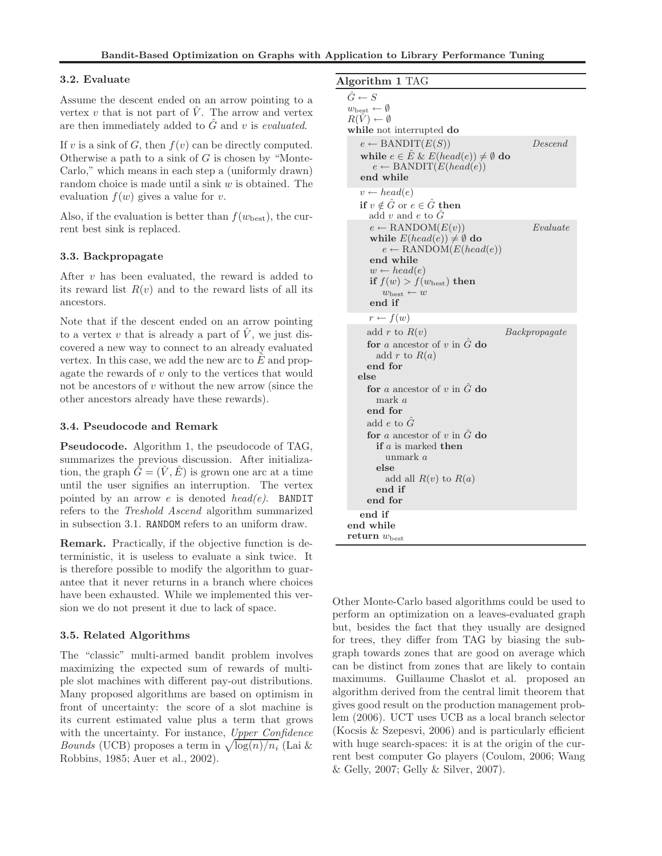### 3.2. Evaluate

Assume the descent ended on an arrow pointing to a vertex v that is not part of  $\hat{V}$ . The arrow and vertex are then immediately added to  $\hat{G}$  and v is *evaluated*.

If v is a sink of G, then  $f(v)$  can be directly computed. Otherwise a path to a sink of  $G$  is chosen by "Monte-Carlo," which means in each step a (uniformly drawn) random choice is made until a sink  $w$  is obtained. The evaluation  $f(w)$  gives a value for v.

Also, if the evaluation is better than  $f(w_{\text{best}})$ , the current best sink is replaced.

### 3.3. Backpropagate

After v has been evaluated, the reward is added to its reward list  $R(v)$  and to the reward lists of all its ancestors.

Note that if the descent ended on an arrow pointing to a vertex v that is already a part of  $\hat{V}$ , we just discovered a new way to connect to an already evaluated vertex. In this case, we add the new arc to  $\hat{E}$  and propagate the rewards of v only to the vertices that would not be ancestors of  $v$  without the new arrow (since the other ancestors already have these rewards).

### 3.4. Pseudocode and Remark

Pseudocode. Algorithm 1, the pseudocode of TAG, summarizes the previous discussion. After initialization, the graph  $\hat{G} = (\hat{V}, \hat{E})$  is grown one arc at a time until the user signifies an interruption. The vertex pointed by an arrow e is denoted *head(e)*. BANDIT refers to the *Treshold Ascend* algorithm summarized in subsection 3.1. RANDOM refers to an uniform draw.

Remark. Practically, if the objective function is deterministic, it is useless to evaluate a sink twice. It is therefore possible to modify the algorithm to guarantee that it never returns in a branch where choices have been exhausted. While we implemented this version we do not present it due to lack of space.

### 3.5. Related Algorithms

The "classic" multi-armed bandit problem involves maximizing the expected sum of rewards of multiple slot machines with different pay-out distributions. Many proposed algorithms are based on optimism in front of uncertainty: the score of a slot machine is its current estimated value plus a term that grows with the uncertainty. For instance, *Upper Confidence Bounds* (UCB) proposes a term in  $\sqrt{\log(n)/n_i}$  (Lai & Robbins, 1985; Auer et al., 2002).

# Algorithm 1 TAG

| $\hat{G} \leftarrow S$                                                      |               |
|-----------------------------------------------------------------------------|---------------|
| $w_{\text{best}} \leftarrow \emptyset$                                      |               |
| $R(V) \leftarrow \emptyset$                                                 |               |
| while not interrupted do                                                    |               |
| $e \leftarrow \text{BANDIT}(E(S))$                                          | Descend       |
| while $e \in \hat{E} \ \& \ E(head(e)) \neq \emptyset$ do                   |               |
| $e \leftarrow \text{BANDIT}(E(head(e)))$                                    |               |
| end while                                                                   |               |
| $v \leftarrow head(e)$                                                      |               |
| if $v \notin \hat{G}$ or $e \in \hat{G}$ then                               |               |
| $\text{add } v \text{ and } e \text{ to } \tilde{G}$                        |               |
| $e \leftarrow$ RANDOM $(E(v))$                                              | Evaluate      |
| while $E(head(e)) \neq \emptyset$ do<br>$e \leftarrow$ RANDOM( $E(head(e))$ |               |
| end while                                                                   |               |
| $w \leftarrow head(e)$                                                      |               |
| if $f(w) > f(w_{best})$ then                                                |               |
| $w_{\text{best}} \leftarrow w$                                              |               |
| end if                                                                      |               |
| $r \leftarrow f(w)$                                                         |               |
| add r to $R(v)$                                                             | Backpropagate |
| for a ancestor of v in $\hat{G}$ do                                         |               |
| add r to $R(a)$                                                             |               |
| end for                                                                     |               |
| else                                                                        |               |
| for a ancestor of v in $\hat{G}$ do                                         |               |
| mark $a$                                                                    |               |
| end for                                                                     |               |
| add e to $\hat{G}$                                                          |               |
| for a ancestor of v in $\hat{G}$ do                                         |               |
| if $a$ is marked then                                                       |               |
| unmark a<br>else                                                            |               |
| add all $R(v)$ to $R(a)$                                                    |               |
| end if                                                                      |               |
| end for                                                                     |               |
| end if                                                                      |               |
| end while                                                                   |               |
| ${\bf return}\; w_{\rm best}$                                               |               |
|                                                                             |               |

Other Monte-Carlo based algorithms could be used to perform an optimization on a leaves-evaluated graph but, besides the fact that they usually are designed for trees, they differ from TAG by biasing the subgraph towards zones that are good on average which can be distinct from zones that are likely to contain maximums. Guillaume Chaslot et al. proposed an algorithm derived from the central limit theorem that gives good result on the production management problem (2006). UCT uses UCB as a local branch selector (Kocsis & Szepesvi, 2006) and is particularly efficient with huge search-spaces: it is at the origin of the current best computer Go players (Coulom, 2006; Wang & Gelly, 2007; Gelly & Silver, 2007).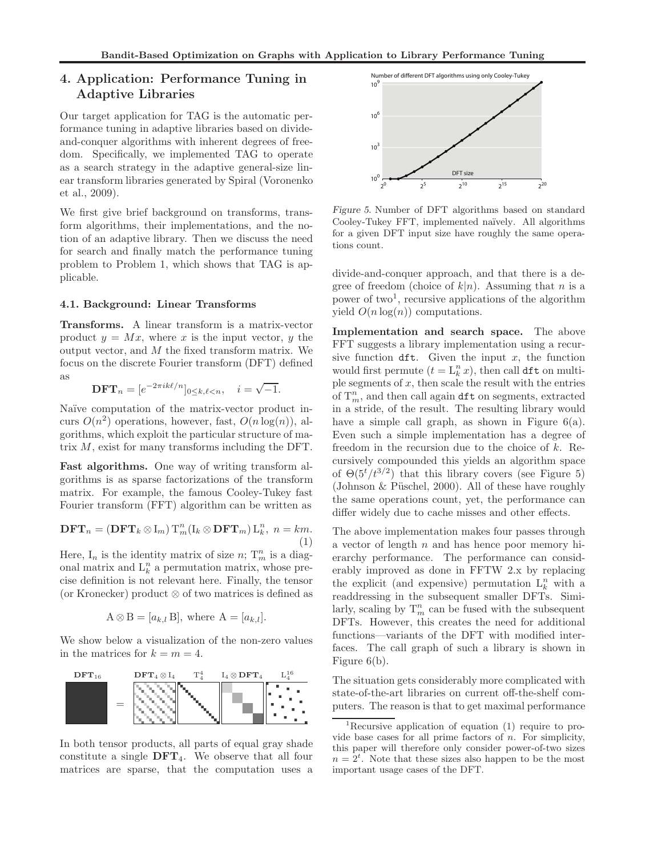# 4. Application: Performance Tuning in Adaptive Libraries

Our target application for TAG is the automatic performance tuning in adaptive libraries based on divideand-conquer algorithms with inherent degrees of freedom. Specifically, we implemented TAG to operate as a search strategy in the adaptive general-size linear transform libraries generated by Spiral (Voronenko et al., 2009).

We first give brief background on transforms, transform algorithms, their implementations, and the notion of an adaptive library. Then we discuss the need for search and finally match the performance tuning problem to Problem 1, which shows that TAG is applicable.

#### 4.1. Background: Linear Transforms

Transforms. A linear transform is a matrix-vector product  $y = Mx$ , where x is the input vector, y the output vector, and M the fixed transform matrix. We focus on the discrete Fourier transform (DFT) defined as

$$
\mathbf{DFT}_n = [e^{-2\pi i k\ell/n}]_{0 \le k,\ell < n}, \quad i = \sqrt{-1}.
$$

Naïve computation of the matrix-vector product incurs  $O(n^2)$  operations, however, fast,  $O(n \log(n))$ , algorithms, which exploit the particular structure of matrix M, exist for many transforms including the DFT.

Fast algorithms. One way of writing transform algorithms is as sparse factorizations of the transform matrix. For example, the famous Cooley-Tukey fast Fourier transform (FFT) algorithm can be written as

$$
\mathbf{DFT}_n = (\mathbf{DFT}_k \otimes I_m) T_m^n (I_k \otimes \mathbf{DFT}_m) L_k^n, \ n = km. \tag{1}
$$

Here,  $I_n$  is the identity matrix of size n;  $T_m^n$  is a diagonal matrix and  $L_k^n$  a permutation matrix, whose precise definition is not relevant here. Finally, the tensor (or Kronecker) product ⊗ of two matrices is defined as

$$
A \otimes B = [a_{k,l} B], \text{ where } A = [a_{k,l}].
$$

We show below a visualization of the non-zero values in the matrices for  $k = m = 4$ .







Figure 5. Number of DFT algorithms based on standard Cooley-Tukey FFT, implemented naïvely. All algorithms for a given DFT input size have roughly the same operations count.

divide-and-conquer approach, and that there is a degree of freedom (choice of  $k|n$ ). Assuming that n is a power of two<sup>1</sup>, recursive applications of the algorithm yield  $O(n \log(n))$  computations.

Implementation and search space. The above FFT suggests a library implementation using a recursive function  $dft$ . Given the input x, the function would first permute  $(t = L_k^n x)$ , then call dft on multiple segments of  $x$ , then scale the result with the entries of  $T_m^n$ , and then call again dft on segments, extracted in a stride, of the result. The resulting library would have a simple call graph, as shown in Figure 6(a). Even such a simple implementation has a degree of freedom in the recursion due to the choice of  $k$ . Recursively compounded this yields an algorithm space of  $\Theta(5^t/t^{3/2})$  that this library covers (see Figure 5) (Johnson  $&$  Püschel, 2000). All of these have roughly the same operations count, yet, the performance can differ widely due to cache misses and other effects.

The above implementation makes four passes through a vector of length  $n$  and has hence poor memory hierarchy performance. The performance can considerably improved as done in FFTW 2.x by replacing the explicit (and expensive) permutation  $L_k^n$  with a readdressing in the subsequent smaller DFTs. Similarly, scaling by  $\mathcal{T}_m^n$  can be fused with the subsequent DFTs. However, this creates the need for additional functions—variants of the DFT with modified interfaces. The call graph of such a library is shown in Figure 6(b).

The situation gets considerably more complicated with state-of-the-art libraries on current off-the-shelf computers. The reason is that to get maximal performance

Recursive application of equation (1) require to provide base cases for all prime factors of  $n$ . For simplicity, this paper will therefore only consider power-of-two sizes  $n = 2^t$ . Note that these sizes also happen to be the most important usage cases of the DFT.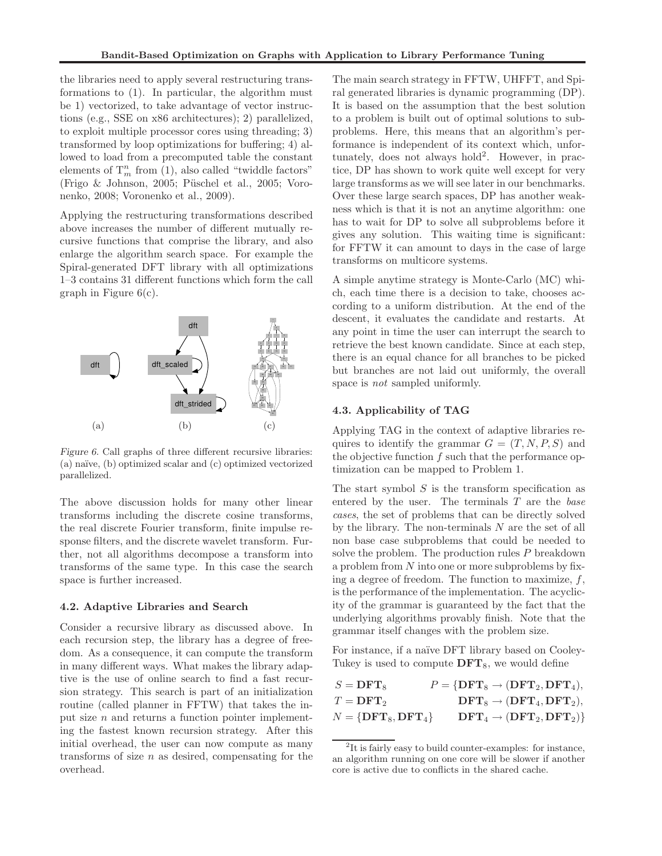the libraries need to apply several restructuring transformations to (1). In particular, the algorithm must be 1) vectorized, to take advantage of vector instructions (e.g., SSE on x86 architectures); 2) parallelized, to exploit multiple processor cores using threading; 3) transformed by loop optimizations for buffering; 4) allowed to load from a precomputed table the constant elements of  $\mathcal{T}_m^n$  from (1), also called "twiddle factors" (Frigo  $\&$  Johnson, 2005; Püschel et al., 2005; Voronenko, 2008; Voronenko et al., 2009).

Applying the restructuring transformations described above increases the number of different mutually recursive functions that comprise the library, and also enlarge the algorithm search space. For example the Spiral-generated DFT library with all optimizations 1–3 contains 31 different functions which form the call graph in Figure  $6(c)$ .



Figure 6. Call graphs of three different recursive libraries: (a) na¨ıve, (b) optimized scalar and (c) optimized vectorized parallelized.

The above discussion holds for many other linear transforms including the discrete cosine transforms, the real discrete Fourier transform, finite impulse response filters, and the discrete wavelet transform. Further, not all algorithms decompose a transform into transforms of the same type. In this case the search space is further increased.

### 4.2. Adaptive Libraries and Search

Consider a recursive library as discussed above. In each recursion step, the library has a degree of freedom. As a consequence, it can compute the transform in many different ways. What makes the library adaptive is the use of online search to find a fast recursion strategy. This search is part of an initialization routine (called planner in FFTW) that takes the input size  $n$  and returns a function pointer implementing the fastest known recursion strategy. After this initial overhead, the user can now compute as many transforms of size  $n$  as desired, compensating for the overhead.

The main search strategy in FFTW, UHFFT, and Spiral generated libraries is dynamic programming (DP). It is based on the assumption that the best solution to a problem is built out of optimal solutions to subproblems. Here, this means that an algorithm's performance is independent of its context which, unfortunately, does not always hold<sup>2</sup>. However, in practice, DP has shown to work quite well except for very large transforms as we will see later in our benchmarks. Over these large search spaces, DP has another weakness which is that it is not an anytime algorithm: one has to wait for DP to solve all subproblems before it gives any solution. This waiting time is significant: for FFTW it can amount to days in the case of large transforms on multicore systems.

A simple anytime strategy is Monte-Carlo (MC) which, each time there is a decision to take, chooses according to a uniform distribution. At the end of the descent, it evaluates the candidate and restarts. At any point in time the user can interrupt the search to retrieve the best known candidate. Since at each step, there is an equal chance for all branches to be picked but branches are not laid out uniformly, the overall space is *not* sampled uniformly.

### 4.3. Applicability of TAG

Applying TAG in the context of adaptive libraries requires to identify the grammar  $G = (T, N, P, S)$  and the objective function  $f$  such that the performance optimization can be mapped to Problem 1.

The start symbol  $S$  is the transform specification as entered by the user. The terminals T are the *base cases*, the set of problems that can be directly solved by the library. The non-terminals  $N$  are the set of all non base case subproblems that could be needed to solve the problem. The production rules P breakdown a problem from N into one or more subproblems by fixing a degree of freedom. The function to maximize,  $f$ , is the performance of the implementation. The acyclicity of the grammar is guaranteed by the fact that the underlying algorithms provably finish. Note that the grammar itself changes with the problem size.

For instance, if a naïve DFT library based on Cooley-Tukey is used to compute  $\text{DFT}_8$ , we would define

| $S = DFT_8$                                           | $P = {\text{DFT}_8} \rightarrow {\text{DFT}_2, \text{DFT}_4},$ |
|-------------------------------------------------------|----------------------------------------------------------------|
| $T = DFT_2$                                           | $\text{DFT}_8 \rightarrow (\text{DFT}_4, \text{DFT}_2),$       |
| $N = \left\{ \mathbf{DFT}_8, \mathbf{DFT}_4 \right\}$ | $\text{DFT}_4 \rightarrow (\text{DFT}_2, \text{DFT}_2)$        |

<sup>&</sup>lt;sup>2</sup>It is fairly easy to build counter-examples: for instance, an algorithm running on one core will be slower if another core is active due to conflicts in the shared cache.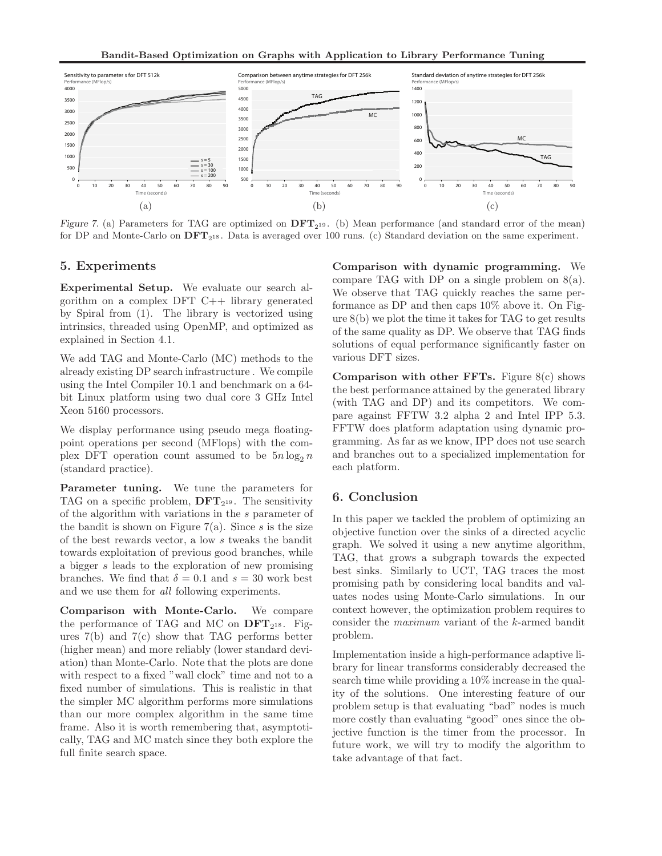

Figure 7. (a) Parameters for TAG are optimized on  $\text{DFT}_{2^{19}}$ . (b) Mean performance (and standard error of the mean) for DP and Monte-Carlo on  $\mathbf{DFT}_{2^{18}}$ . Data is averaged over 100 runs. (c) Standard deviation on the same experiment.

# 5. Experiments

Experimental Setup. We evaluate our search algorithm on a complex DFT C++ library generated by Spiral from (1). The library is vectorized using intrinsics, threaded using OpenMP, and optimized as explained in Section 4.1.

We add TAG and Monte-Carlo (MC) methods to the already existing DP search infrastructure . We compile using the Intel Compiler 10.1 and benchmark on a 64 bit Linux platform using two dual core 3 GHz Intel Xeon 5160 processors.

We display performance using pseudo mega floatingpoint operations per second (MFlops) with the complex DFT operation count assumed to be  $5n \log_2 n$ (standard practice).

Parameter tuning. We tune the parameters for TAG on a specific problem,  $\text{DFT}_{2^{19}}$ . The sensitivity of the algorithm with variations in the s parameter of the bandit is shown on Figure 7(a). Since  $s$  is the size of the best rewards vector, a low s tweaks the bandit towards exploitation of previous good branches, while a bigger s leads to the exploration of new promising branches. We find that  $\delta = 0.1$  and  $s = 30$  work best and we use them for *all* following experiments.

Comparison with Monte-Carlo. We compare the performance of TAG and MC on  $DFT_{2^{18}}$ . Figures 7(b) and 7(c) show that TAG performs better (higher mean) and more reliably (lower standard deviation) than Monte-Carlo. Note that the plots are done with respect to a fixed "wall clock" time and not to a fixed number of simulations. This is realistic in that the simpler MC algorithm performs more simulations than our more complex algorithm in the same time frame. Also it is worth remembering that, asymptotically, TAG and MC match since they both explore the full finite search space.

Comparison with dynamic programming. We compare TAG with DP on a single problem on 8(a). We observe that TAG quickly reaches the same performance as DP and then caps 10% above it. On Figure 8(b) we plot the time it takes for TAG to get results of the same quality as DP. We observe that TAG finds solutions of equal performance significantly faster on various DFT sizes.

Comparison with other FFTs. Figure  $8(c)$  shows the best performance attained by the generated library (with TAG and DP) and its competitors. We compare against FFTW 3.2 alpha 2 and Intel IPP 5.3. FFTW does platform adaptation using dynamic programming. As far as we know, IPP does not use search and branches out to a specialized implementation for each platform.

# 6. Conclusion

In this paper we tackled the problem of optimizing an objective function over the sinks of a directed acyclic graph. We solved it using a new anytime algorithm, TAG, that grows a subgraph towards the expected best sinks. Similarly to UCT, TAG traces the most promising path by considering local bandits and valuates nodes using Monte-Carlo simulations. In our context however, the optimization problem requires to consider the *maximum* variant of the k-armed bandit problem.

Implementation inside a high-performance adaptive library for linear transforms considerably decreased the search time while providing a 10% increase in the quality of the solutions. One interesting feature of our problem setup is that evaluating "bad" nodes is much more costly than evaluating "good" ones since the objective function is the timer from the processor. In future work, we will try to modify the algorithm to take advantage of that fact.